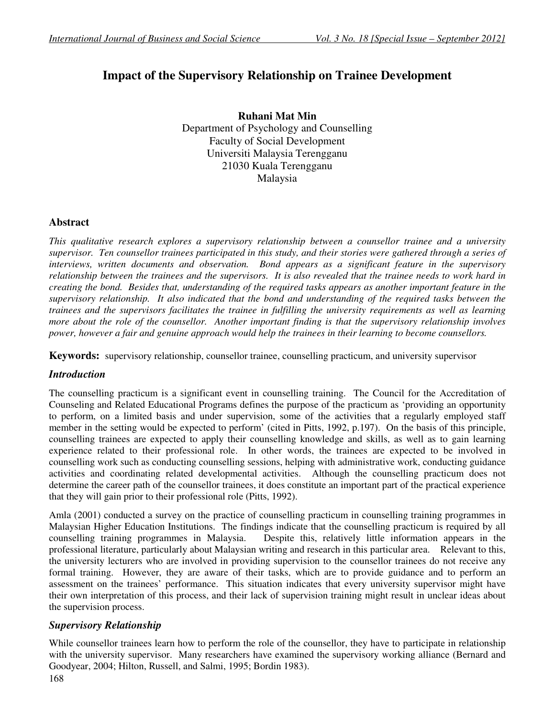# **Impact of the Supervisory Relationship on Trainee Development**

**Ruhani Mat Min**  Department of Psychology and Counselling Faculty of Social Development Universiti Malaysia Terengganu 21030 Kuala Terengganu Malaysia

# **Abstract**

*This qualitative research explores a supervisory relationship between a counsellor trainee and a university supervisor. Ten counsellor trainees participated in this study, and their stories were gathered through a series of interviews, written documents and observation. Bond appears as a significant feature in the supervisory relationship between the trainees and the supervisors. It is also revealed that the trainee needs to work hard in creating the bond. Besides that, understanding of the required tasks appears as another important feature in the supervisory relationship. It also indicated that the bond and understanding of the required tasks between the trainees and the supervisors facilitates the trainee in fulfilling the university requirements as well as learning more about the role of the counsellor. Another important finding is that the supervisory relationship involves power, however a fair and genuine approach would help the trainees in their learning to become counsellors.* 

**Keywords:** supervisory relationship, counsellor trainee, counselling practicum, and university supervisor

# *Introduction*

The counselling practicum is a significant event in counselling training. The Council for the Accreditation of Counseling and Related Educational Programs defines the purpose of the practicum as 'providing an opportunity to perform, on a limited basis and under supervision, some of the activities that a regularly employed staff member in the setting would be expected to perform' (cited in Pitts, 1992, p.197). On the basis of this principle, counselling trainees are expected to apply their counselling knowledge and skills, as well as to gain learning experience related to their professional role. In other words, the trainees are expected to be involved in counselling work such as conducting counselling sessions, helping with administrative work, conducting guidance activities and coordinating related developmental activities. Although the counselling practicum does not determine the career path of the counsellor trainees, it does constitute an important part of the practical experience that they will gain prior to their professional role (Pitts, 1992).

Amla (2001) conducted a survey on the practice of counselling practicum in counselling training programmes in Malaysian Higher Education Institutions. The findings indicate that the counselling practicum is required by all counselling training programmes in Malaysia. Despite this, relatively little information appears in the professional literature, particularly about Malaysian writing and research in this particular area. Relevant to this, the university lecturers who are involved in providing supervision to the counsellor trainees do not receive any formal training. However, they are aware of their tasks, which are to provide guidance and to perform an assessment on the trainees' performance. This situation indicates that every university supervisor might have their own interpretation of this process, and their lack of supervision training might result in unclear ideas about the supervision process.

# *Supervisory Relationship*

While counsellor trainees learn how to perform the role of the counsellor, they have to participate in relationship with the university supervisor. Many researchers have examined the supervisory working alliance (Bernard and Goodyear, 2004; Hilton, Russell, and Salmi, 1995; Bordin 1983).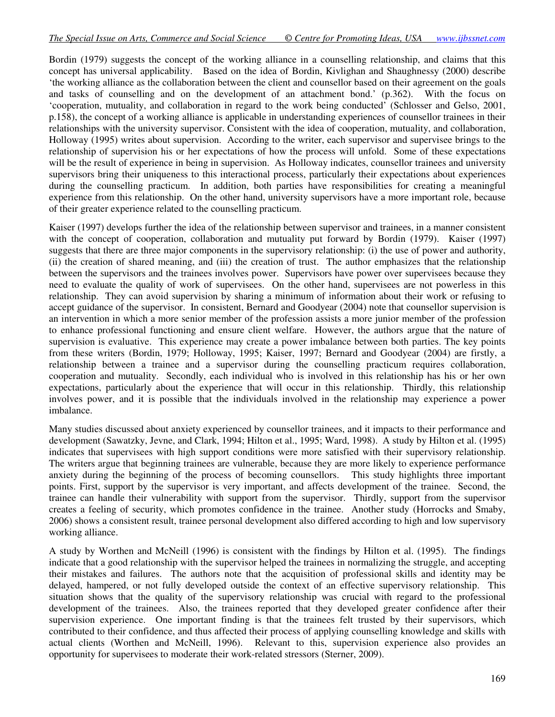Bordin (1979) suggests the concept of the working alliance in a counselling relationship, and claims that this concept has universal applicability. Based on the idea of Bordin, Kivlighan and Shaughnessy (2000) describe 'the working alliance as the collaboration between the client and counsellor based on their agreement on the goals and tasks of counselling and on the development of an attachment bond.' (p.362). With the focus on 'cooperation, mutuality, and collaboration in regard to the work being conducted' (Schlosser and Gelso, 2001, p.158), the concept of a working alliance is applicable in understanding experiences of counsellor trainees in their relationships with the university supervisor. Consistent with the idea of cooperation, mutuality, and collaboration, Holloway (1995) writes about supervision. According to the writer, each supervisor and supervisee brings to the relationship of supervision his or her expectations of how the process will unfold. Some of these expectations will be the result of experience in being in supervision. As Holloway indicates, counsellor trainees and university supervisors bring their uniqueness to this interactional process, particularly their expectations about experiences during the counselling practicum. In addition, both parties have responsibilities for creating a meaningful experience from this relationship. On the other hand, university supervisors have a more important role, because of their greater experience related to the counselling practicum.

Kaiser (1997) develops further the idea of the relationship between supervisor and trainees, in a manner consistent with the concept of cooperation, collaboration and mutuality put forward by Bordin (1979). Kaiser (1997) suggests that there are three major components in the supervisory relationship: (i) the use of power and authority, (ii) the creation of shared meaning, and (iii) the creation of trust. The author emphasizes that the relationship between the supervisors and the trainees involves power. Supervisors have power over supervisees because they need to evaluate the quality of work of supervisees. On the other hand, supervisees are not powerless in this relationship. They can avoid supervision by sharing a minimum of information about their work or refusing to accept guidance of the supervisor. In consistent, Bernard and Goodyear (2004) note that counsellor supervision is an intervention in which a more senior member of the profession assists a more junior member of the profession to enhance professional functioning and ensure client welfare. However, the authors argue that the nature of supervision is evaluative. This experience may create a power imbalance between both parties. The key points from these writers (Bordin, 1979; Holloway, 1995; Kaiser, 1997; Bernard and Goodyear (2004) are firstly, a relationship between a trainee and a supervisor during the counselling practicum requires collaboration, cooperation and mutuality. Secondly, each individual who is involved in this relationship has his or her own expectations, particularly about the experience that will occur in this relationship. Thirdly, this relationship involves power, and it is possible that the individuals involved in the relationship may experience a power imbalance.

Many studies discussed about anxiety experienced by counsellor trainees, and it impacts to their performance and development (Sawatzky, Jevne, and Clark, 1994; Hilton et al., 1995; Ward, 1998). A study by Hilton et al. (1995) indicates that supervisees with high support conditions were more satisfied with their supervisory relationship. The writers argue that beginning trainees are vulnerable, because they are more likely to experience performance anxiety during the beginning of the process of becoming counsellors. This study highlights three important points. First, support by the supervisor is very important, and affects development of the trainee. Second, the trainee can handle their vulnerability with support from the supervisor. Thirdly, support from the supervisor creates a feeling of security, which promotes confidence in the trainee. Another study (Horrocks and Smaby, 2006) shows a consistent result, trainee personal development also differed according to high and low supervisory working alliance.

A study by Worthen and McNeill (1996) is consistent with the findings by Hilton et al. (1995). The findings indicate that a good relationship with the supervisor helped the trainees in normalizing the struggle, and accepting their mistakes and failures. The authors note that the acquisition of professional skills and identity may be delayed, hampered, or not fully developed outside the context of an effective supervisory relationship. This situation shows that the quality of the supervisory relationship was crucial with regard to the professional development of the trainees. Also, the trainees reported that they developed greater confidence after their supervision experience. One important finding is that the trainees felt trusted by their supervisors, which contributed to their confidence, and thus affected their process of applying counselling knowledge and skills with actual clients (Worthen and McNeill, 1996). Relevant to this, supervision experience also provides an opportunity for supervisees to moderate their work-related stressors (Sterner, 2009).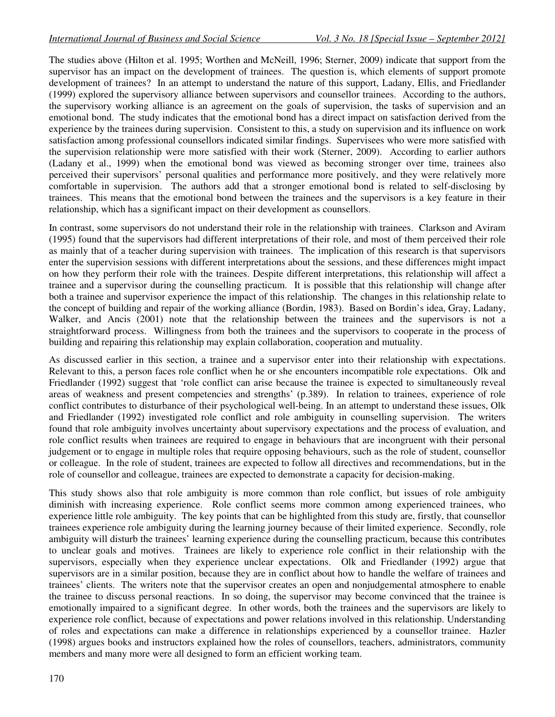The studies above (Hilton et al. 1995; Worthen and McNeill, 1996; Sterner, 2009) indicate that support from the supervisor has an impact on the development of trainees. The question is, which elements of support promote development of trainees? In an attempt to understand the nature of this support, Ladany, Ellis, and Friedlander (1999) explored the supervisory alliance between supervisors and counsellor trainees. According to the authors, the supervisory working alliance is an agreement on the goals of supervision, the tasks of supervision and an emotional bond. The study indicates that the emotional bond has a direct impact on satisfaction derived from the experience by the trainees during supervision. Consistent to this, a study on supervision and its influence on work satisfaction among professional counsellors indicated similar findings. Supervisees who were more satisfied with the supervision relationship were more satisfied with their work (Sterner, 2009). According to earlier authors (Ladany et al., 1999) when the emotional bond was viewed as becoming stronger over time, trainees also perceived their supervisors' personal qualities and performance more positively, and they were relatively more comfortable in supervision. The authors add that a stronger emotional bond is related to self-disclosing by trainees. This means that the emotional bond between the trainees and the supervisors is a key feature in their relationship, which has a significant impact on their development as counsellors.

In contrast, some supervisors do not understand their role in the relationship with trainees. Clarkson and Aviram (1995) found that the supervisors had different interpretations of their role, and most of them perceived their role as mainly that of a teacher during supervision with trainees. The implication of this research is that supervisors enter the supervision sessions with different interpretations about the sessions, and these differences might impact on how they perform their role with the trainees. Despite different interpretations, this relationship will affect a trainee and a supervisor during the counselling practicum. It is possible that this relationship will change after both a trainee and supervisor experience the impact of this relationship. The changes in this relationship relate to the concept of building and repair of the working alliance (Bordin, 1983). Based on Bordin's idea, Gray, Ladany, Walker, and Ancis (2001) note that the relationship between the trainees and the supervisors is not a straightforward process. Willingness from both the trainees and the supervisors to cooperate in the process of building and repairing this relationship may explain collaboration, cooperation and mutuality.

As discussed earlier in this section, a trainee and a supervisor enter into their relationship with expectations. Relevant to this, a person faces role conflict when he or she encounters incompatible role expectations. Olk and Friedlander (1992) suggest that 'role conflict can arise because the trainee is expected to simultaneously reveal areas of weakness and present competencies and strengths' (p.389). In relation to trainees, experience of role conflict contributes to disturbance of their psychological well-being. In an attempt to understand these issues, Olk and Friedlander (1992) investigated role conflict and role ambiguity in counselling supervision. The writers found that role ambiguity involves uncertainty about supervisory expectations and the process of evaluation, and role conflict results when trainees are required to engage in behaviours that are incongruent with their personal judgement or to engage in multiple roles that require opposing behaviours, such as the role of student, counsellor or colleague. In the role of student, trainees are expected to follow all directives and recommendations, but in the role of counsellor and colleague, trainees are expected to demonstrate a capacity for decision-making.

This study shows also that role ambiguity is more common than role conflict, but issues of role ambiguity diminish with increasing experience. Role conflict seems more common among experienced trainees, who experience little role ambiguity. The key points that can be highlighted from this study are, firstly, that counsellor trainees experience role ambiguity during the learning journey because of their limited experience. Secondly, role ambiguity will disturb the trainees' learning experience during the counselling practicum, because this contributes to unclear goals and motives. Trainees are likely to experience role conflict in their relationship with the supervisors, especially when they experience unclear expectations. Olk and Friedlander (1992) argue that supervisors are in a similar position, because they are in conflict about how to handle the welfare of trainees and trainees' clients. The writers note that the supervisor creates an open and nonjudgemental atmosphere to enable the trainee to discuss personal reactions. In so doing, the supervisor may become convinced that the trainee is emotionally impaired to a significant degree. In other words, both the trainees and the supervisors are likely to experience role conflict, because of expectations and power relations involved in this relationship. Understanding of roles and expectations can make a difference in relationships experienced by a counsellor trainee. Hazler (1998) argues books and instructors explained how the roles of counsellors, teachers, administrators, community members and many more were all designed to form an efficient working team.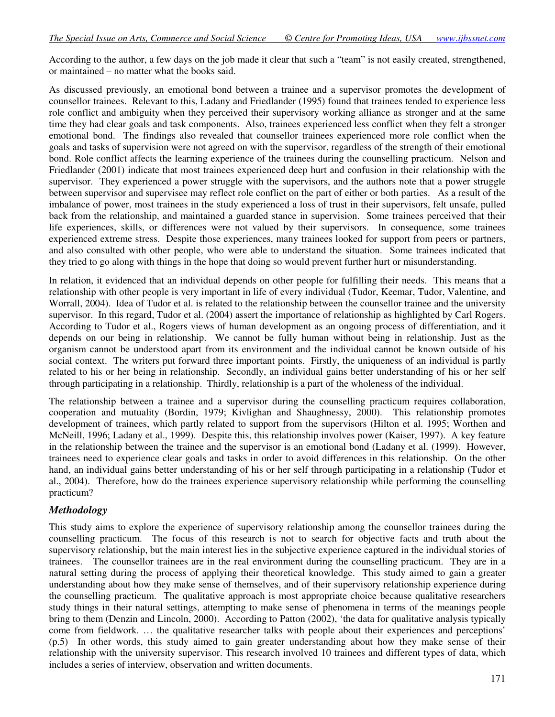According to the author, a few days on the job made it clear that such a "team" is not easily created, strengthened, or maintained – no matter what the books said.

As discussed previously, an emotional bond between a trainee and a supervisor promotes the development of counsellor trainees. Relevant to this, Ladany and Friedlander (1995) found that trainees tended to experience less role conflict and ambiguity when they perceived their supervisory working alliance as stronger and at the same time they had clear goals and task components. Also, trainees experienced less conflict when they felt a stronger emotional bond. The findings also revealed that counsellor trainees experienced more role conflict when the goals and tasks of supervision were not agreed on with the supervisor, regardless of the strength of their emotional bond. Role conflict affects the learning experience of the trainees during the counselling practicum. Nelson and Friedlander (2001) indicate that most trainees experienced deep hurt and confusion in their relationship with the supervisor. They experienced a power struggle with the supervisors, and the authors note that a power struggle between supervisor and supervisee may reflect role conflict on the part of either or both parties. As a result of the imbalance of power, most trainees in the study experienced a loss of trust in their supervisors, felt unsafe, pulled back from the relationship, and maintained a guarded stance in supervision. Some trainees perceived that their life experiences, skills, or differences were not valued by their supervisors. In consequence, some trainees experienced extreme stress. Despite those experiences, many trainees looked for support from peers or partners, and also consulted with other people, who were able to understand the situation. Some trainees indicated that they tried to go along with things in the hope that doing so would prevent further hurt or misunderstanding.

In relation, it evidenced that an individual depends on other people for fulfilling their needs. This means that a relationship with other people is very important in life of every individual (Tudor, Keemar, Tudor, Valentine, and Worrall, 2004). Idea of Tudor et al. is related to the relationship between the counsellor trainee and the university supervisor. In this regard, Tudor et al. (2004) assert the importance of relationship as highlighted by Carl Rogers. According to Tudor et al., Rogers views of human development as an ongoing process of differentiation, and it depends on our being in relationship. We cannot be fully human without being in relationship. Just as the organism cannot be understood apart from its environment and the individual cannot be known outside of his social context. The writers put forward three important points. Firstly, the uniqueness of an individual is partly related to his or her being in relationship. Secondly, an individual gains better understanding of his or her self through participating in a relationship. Thirdly, relationship is a part of the wholeness of the individual.

The relationship between a trainee and a supervisor during the counselling practicum requires collaboration, cooperation and mutuality (Bordin, 1979; Kivlighan and Shaughnessy, 2000). This relationship promotes development of trainees, which partly related to support from the supervisors (Hilton et al. 1995; Worthen and McNeill, 1996; Ladany et al., 1999). Despite this, this relationship involves power (Kaiser, 1997). A key feature in the relationship between the trainee and the supervisor is an emotional bond (Ladany et al. (1999). However, trainees need to experience clear goals and tasks in order to avoid differences in this relationship. On the other hand, an individual gains better understanding of his or her self through participating in a relationship (Tudor et al., 2004). Therefore, how do the trainees experience supervisory relationship while performing the counselling practicum?

# *Methodology*

This study aims to explore the experience of supervisory relationship among the counsellor trainees during the counselling practicum. The focus of this research is not to search for objective facts and truth about the supervisory relationship, but the main interest lies in the subjective experience captured in the individual stories of trainees. The counsellor trainees are in the real environment during the counselling practicum. They are in a natural setting during the process of applying their theoretical knowledge. This study aimed to gain a greater understanding about how they make sense of themselves, and of their supervisory relationship experience during the counselling practicum. The qualitative approach is most appropriate choice because qualitative researchers study things in their natural settings, attempting to make sense of phenomena in terms of the meanings people bring to them (Denzin and Lincoln, 2000). According to Patton (2002), 'the data for qualitative analysis typically come from fieldwork. … the qualitative researcher talks with people about their experiences and perceptions' (p.5) In other words, this study aimed to gain greater understanding about how they make sense of their relationship with the university supervisor. This research involved 10 trainees and different types of data, which includes a series of interview, observation and written documents.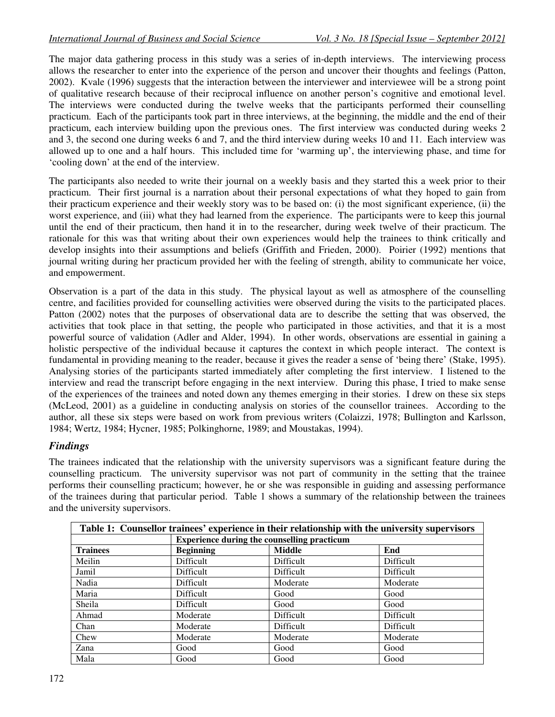The major data gathering process in this study was a series of in-depth interviews. The interviewing process allows the researcher to enter into the experience of the person and uncover their thoughts and feelings (Patton, 2002). Kvale (1996) suggests that the interaction between the interviewer and interviewee will be a strong point of qualitative research because of their reciprocal influence on another person's cognitive and emotional level. The interviews were conducted during the twelve weeks that the participants performed their counselling practicum. Each of the participants took part in three interviews, at the beginning, the middle and the end of their practicum, each interview building upon the previous ones. The first interview was conducted during weeks 2 and 3, the second one during weeks 6 and 7, and the third interview during weeks 10 and 11. Each interview was allowed up to one and a half hours. This included time for 'warming up', the interviewing phase, and time for 'cooling down' at the end of the interview.

The participants also needed to write their journal on a weekly basis and they started this a week prior to their practicum. Their first journal is a narration about their personal expectations of what they hoped to gain from their practicum experience and their weekly story was to be based on: (i) the most significant experience, (ii) the worst experience, and (iii) what they had learned from the experience. The participants were to keep this journal until the end of their practicum, then hand it in to the researcher, during week twelve of their practicum. The rationale for this was that writing about their own experiences would help the trainees to think critically and develop insights into their assumptions and beliefs (Griffith and Frieden, 2000). Poirier (1992) mentions that journal writing during her practicum provided her with the feeling of strength, ability to communicate her voice, and empowerment.

Observation is a part of the data in this study. The physical layout as well as atmosphere of the counselling centre, and facilities provided for counselling activities were observed during the visits to the participated places. Patton (2002) notes that the purposes of observational data are to describe the setting that was observed, the activities that took place in that setting, the people who participated in those activities, and that it is a most powerful source of validation (Adler and Alder, 1994). In other words, observations are essential in gaining a holistic perspective of the individual because it captures the context in which people interact. The context is fundamental in providing meaning to the reader, because it gives the reader a sense of 'being there' (Stake, 1995). Analysing stories of the participants started immediately after completing the first interview. I listened to the interview and read the transcript before engaging in the next interview. During this phase, I tried to make sense of the experiences of the trainees and noted down any themes emerging in their stories. I drew on these six steps (McLeod, 2001) as a guideline in conducting analysis on stories of the counsellor trainees. According to the author, all these six steps were based on work from previous writers (Colaizzi, 1978; Bullington and Karlsson, 1984; Wertz, 1984; Hycner, 1985; Polkinghorne, 1989; and Moustakas, 1994).

# *Findings*

The trainees indicated that the relationship with the university supervisors was a significant feature during the counselling practicum. The university supervisor was not part of community in the setting that the trainee performs their counselling practicum; however, he or she was responsible in guiding and assessing performance of the trainees during that particular period. Table 1 shows a summary of the relationship between the trainees and the university supervisors.

| Table 1: Counsellor trainees' experience in their relationship with the university supervisors |                                                    |                  |                  |
|------------------------------------------------------------------------------------------------|----------------------------------------------------|------------------|------------------|
|                                                                                                | <b>Experience during the counselling practicum</b> |                  |                  |
| <b>Trainees</b>                                                                                | <b>Beginning</b>                                   | <b>Middle</b>    | End              |
| Meilin                                                                                         | Difficult                                          | Difficult        | Difficult        |
| Jamil                                                                                          | Difficult                                          | Difficult        | Difficult        |
| Nadia                                                                                          | Difficult                                          | Moderate         | Moderate         |
| Maria                                                                                          | Difficult                                          | Good             | Good             |
| Sheila                                                                                         | <b>Difficult</b>                                   | Good             | Good             |
| Ahmad                                                                                          | Moderate                                           | <b>Difficult</b> | <b>Difficult</b> |
| Chan                                                                                           | Moderate                                           | Difficult        | Difficult        |
| Chew                                                                                           | Moderate                                           | Moderate         | Moderate         |
| Zana                                                                                           | Good                                               | Good             | Good             |
| Mala                                                                                           | Good                                               | Good             | Good             |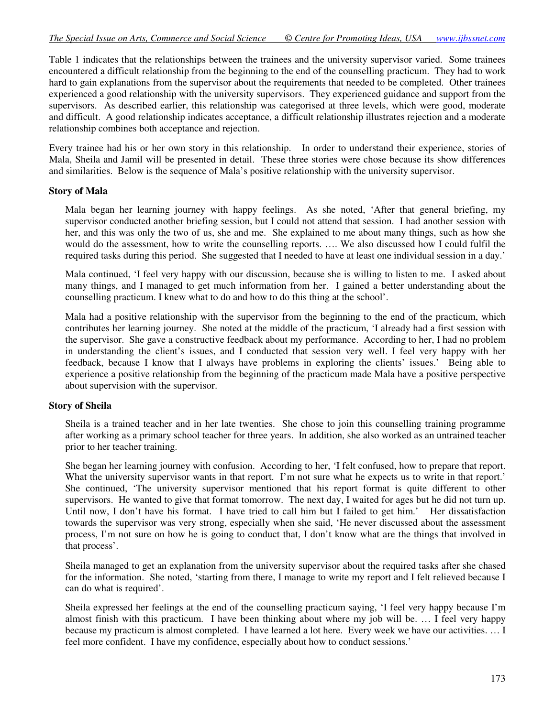Table 1 indicates that the relationships between the trainees and the university supervisor varied. Some trainees encountered a difficult relationship from the beginning to the end of the counselling practicum. They had to work hard to gain explanations from the supervisor about the requirements that needed to be completed. Other trainees experienced a good relationship with the university supervisors. They experienced guidance and support from the supervisors. As described earlier, this relationship was categorised at three levels, which were good, moderate and difficult. A good relationship indicates acceptance, a difficult relationship illustrates rejection and a moderate relationship combines both acceptance and rejection.

Every trainee had his or her own story in this relationship. In order to understand their experience, stories of Mala, Sheila and Jamil will be presented in detail. These three stories were chose because its show differences and similarities. Below is the sequence of Mala's positive relationship with the university supervisor.

#### **Story of Mala**

Mala began her learning journey with happy feelings. As she noted, 'After that general briefing, my supervisor conducted another briefing session, but I could not attend that session. I had another session with her, and this was only the two of us, she and me. She explained to me about many things, such as how she would do the assessment, how to write the counselling reports. …. We also discussed how I could fulfil the required tasks during this period. She suggested that I needed to have at least one individual session in a day.'

Mala continued, 'I feel very happy with our discussion, because she is willing to listen to me. I asked about many things, and I managed to get much information from her. I gained a better understanding about the counselling practicum. I knew what to do and how to do this thing at the school'.

Mala had a positive relationship with the supervisor from the beginning to the end of the practicum, which contributes her learning journey. She noted at the middle of the practicum, 'I already had a first session with the supervisor. She gave a constructive feedback about my performance. According to her, I had no problem in understanding the client's issues, and I conducted that session very well. I feel very happy with her feedback, because I know that I always have problems in exploring the clients' issues.'Being able to experience a positive relationship from the beginning of the practicum made Mala have a positive perspective about supervision with the supervisor.

#### **Story of Sheila**

Sheila is a trained teacher and in her late twenties. She chose to join this counselling training programme after working as a primary school teacher for three years. In addition, she also worked as an untrained teacher prior to her teacher training.

She began her learning journey with confusion. According to her, 'I felt confused, how to prepare that report. What the university supervisor wants in that report. I'm not sure what he expects us to write in that report.' She continued, 'The university supervisor mentioned that his report format is quite different to other supervisors. He wanted to give that format tomorrow. The next day, I waited for ages but he did not turn up. Until now, I don't have his format. I have tried to call him but I failed to get him.' Her dissatisfaction towards the supervisor was very strong, especially when she said, 'He never discussed about the assessment process, I'm not sure on how he is going to conduct that, I don't know what are the things that involved in that process'.

Sheila managed to get an explanation from the university supervisor about the required tasks after she chased for the information. She noted, 'starting from there, I manage to write my report and I felt relieved because I can do what is required'.

Sheila expressed her feelings at the end of the counselling practicum saying, 'I feel very happy because I'm almost finish with this practicum. I have been thinking about where my job will be. … I feel very happy because my practicum is almost completed. I have learned a lot here. Every week we have our activities. … I feel more confident. I have my confidence, especially about how to conduct sessions.'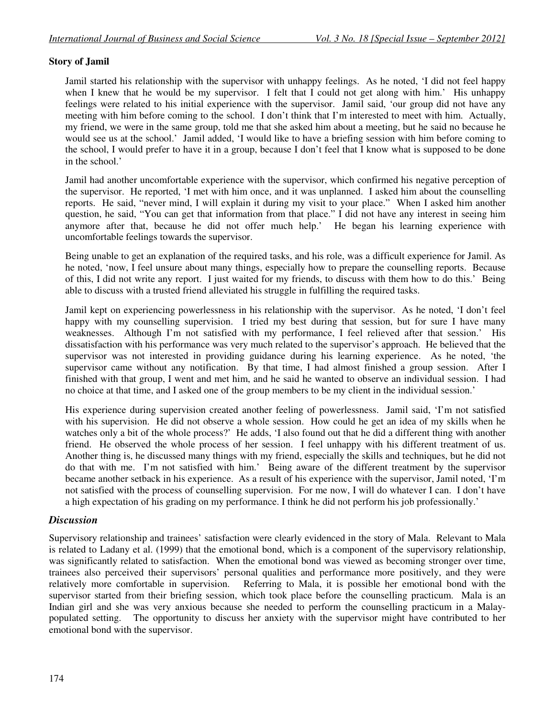### **Story of Jamil**

Jamil started his relationship with the supervisor with unhappy feelings. As he noted, 'I did not feel happy when I knew that he would be my supervisor. I felt that I could not get along with him.' His unhappy feelings were related to his initial experience with the supervisor. Jamil said, 'our group did not have any meeting with him before coming to the school. I don't think that I'm interested to meet with him. Actually, my friend, we were in the same group, told me that she asked him about a meeting, but he said no because he would see us at the school.' Jamil added, 'I would like to have a briefing session with him before coming to the school, I would prefer to have it in a group, because I don't feel that I know what is supposed to be done in the school.'

Jamil had another uncomfortable experience with the supervisor, which confirmed his negative perception of the supervisor. He reported, 'I met with him once, and it was unplanned. I asked him about the counselling reports. He said, "never mind, I will explain it during my visit to your place." When I asked him another question, he said, "You can get that information from that place." I did not have any interest in seeing him anymore after that, because he did not offer much help.' He began his learning experience with uncomfortable feelings towards the supervisor.

Being unable to get an explanation of the required tasks, and his role, was a difficult experience for Jamil. As he noted, 'now, I feel unsure about many things, especially how to prepare the counselling reports. Because of this, I did not write any report. I just waited for my friends, to discuss with them how to do this.' Being able to discuss with a trusted friend alleviated his struggle in fulfilling the required tasks.

Jamil kept on experiencing powerlessness in his relationship with the supervisor. As he noted, 'I don't feel happy with my counselling supervision. I tried my best during that session, but for sure I have many weaknesses. Although I'm not satisfied with my performance, I feel relieved after that session.' His dissatisfaction with his performance was very much related to the supervisor's approach. He believed that the supervisor was not interested in providing guidance during his learning experience. As he noted, 'the supervisor came without any notification. By that time, I had almost finished a group session. After I finished with that group, I went and met him, and he said he wanted to observe an individual session. I had no choice at that time, and I asked one of the group members to be my client in the individual session.'

His experience during supervision created another feeling of powerlessness. Jamil said, 'I'm not satisfied with his supervision. He did not observe a whole session. How could he get an idea of my skills when he watches only a bit of the whole process?' He adds, 'I also found out that he did a different thing with another friend. He observed the whole process of her session. I feel unhappy with his different treatment of us. Another thing is, he discussed many things with my friend, especially the skills and techniques, but he did not do that with me. I'm not satisfied with him.' Being aware of the different treatment by the supervisor became another setback in his experience. As a result of his experience with the supervisor, Jamil noted, 'I'm not satisfied with the process of counselling supervision. For me now, I will do whatever I can. I don't have a high expectation of his grading on my performance. I think he did not perform his job professionally.'

# *Discussion*

Supervisory relationship and trainees' satisfaction were clearly evidenced in the story of Mala. Relevant to Mala is related to Ladany et al. (1999) that the emotional bond, which is a component of the supervisory relationship, was significantly related to satisfaction. When the emotional bond was viewed as becoming stronger over time, trainees also perceived their supervisors' personal qualities and performance more positively, and they were relatively more comfortable in supervision. Referring to Mala, it is possible her emotional bond with the supervisor started from their briefing session, which took place before the counselling practicum. Mala is an Indian girl and she was very anxious because she needed to perform the counselling practicum in a Malaypopulated setting. The opportunity to discuss her anxiety with the supervisor might have contributed to her emotional bond with the supervisor.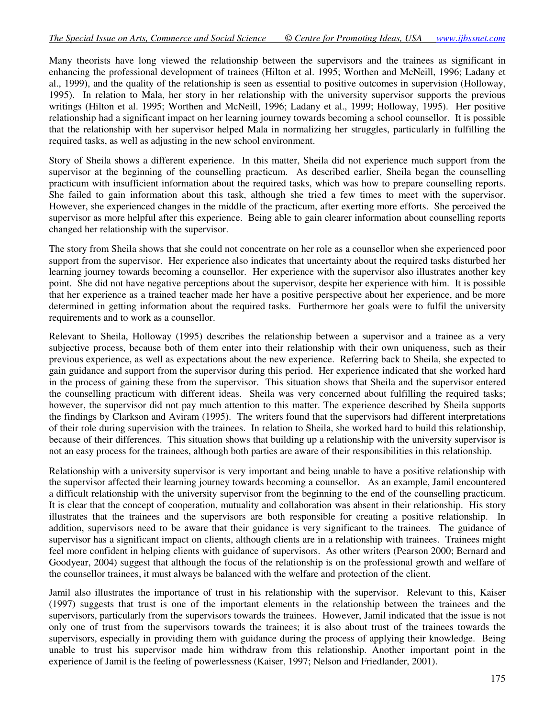Many theorists have long viewed the relationship between the supervisors and the trainees as significant in enhancing the professional development of trainees (Hilton et al. 1995; Worthen and McNeill, 1996; Ladany et al., 1999), and the quality of the relationship is seen as essential to positive outcomes in supervision (Holloway, 1995). In relation to Mala, her story in her relationship with the university supervisor supports the previous writings (Hilton et al. 1995; Worthen and McNeill, 1996; Ladany et al., 1999; Holloway, 1995). Her positive relationship had a significant impact on her learning journey towards becoming a school counsellor. It is possible that the relationship with her supervisor helped Mala in normalizing her struggles, particularly in fulfilling the required tasks, as well as adjusting in the new school environment.

Story of Sheila shows a different experience. In this matter, Sheila did not experience much support from the supervisor at the beginning of the counselling practicum. As described earlier, Sheila began the counselling practicum with insufficient information about the required tasks, which was how to prepare counselling reports. She failed to gain information about this task, although she tried a few times to meet with the supervisor. However, she experienced changes in the middle of the practicum, after exerting more efforts. She perceived the supervisor as more helpful after this experience. Being able to gain clearer information about counselling reports changed her relationship with the supervisor.

The story from Sheila shows that she could not concentrate on her role as a counsellor when she experienced poor support from the supervisor. Her experience also indicates that uncertainty about the required tasks disturbed her learning journey towards becoming a counsellor. Her experience with the supervisor also illustrates another key point. She did not have negative perceptions about the supervisor, despite her experience with him. It is possible that her experience as a trained teacher made her have a positive perspective about her experience, and be more determined in getting information about the required tasks. Furthermore her goals were to fulfil the university requirements and to work as a counsellor.

Relevant to Sheila, Holloway (1995) describes the relationship between a supervisor and a trainee as a very subjective process, because both of them enter into their relationship with their own uniqueness, such as their previous experience, as well as expectations about the new experience. Referring back to Sheila, she expected to gain guidance and support from the supervisor during this period. Her experience indicated that she worked hard in the process of gaining these from the supervisor. This situation shows that Sheila and the supervisor entered the counselling practicum with different ideas. Sheila was very concerned about fulfilling the required tasks; however, the supervisor did not pay much attention to this matter. The experience described by Sheila supports the findings by Clarkson and Aviram (1995). The writers found that the supervisors had different interpretations of their role during supervision with the trainees. In relation to Sheila, she worked hard to build this relationship, because of their differences. This situation shows that building up a relationship with the university supervisor is not an easy process for the trainees, although both parties are aware of their responsibilities in this relationship.

Relationship with a university supervisor is very important and being unable to have a positive relationship with the supervisor affected their learning journey towards becoming a counsellor. As an example, Jamil encountered a difficult relationship with the university supervisor from the beginning to the end of the counselling practicum. It is clear that the concept of cooperation, mutuality and collaboration was absent in their relationship. His story illustrates that the trainees and the supervisors are both responsible for creating a positive relationship. In addition, supervisors need to be aware that their guidance is very significant to the trainees. The guidance of supervisor has a significant impact on clients, although clients are in a relationship with trainees. Trainees might feel more confident in helping clients with guidance of supervisors. As other writers (Pearson 2000; Bernard and Goodyear, 2004) suggest that although the focus of the relationship is on the professional growth and welfare of the counsellor trainees, it must always be balanced with the welfare and protection of the client.

Jamil also illustrates the importance of trust in his relationship with the supervisor. Relevant to this, Kaiser (1997) suggests that trust is one of the important elements in the relationship between the trainees and the supervisors, particularly from the supervisors towards the trainees. However, Jamil indicated that the issue is not only one of trust from the supervisors towards the trainees; it is also about trust of the trainees towards the supervisors, especially in providing them with guidance during the process of applying their knowledge. Being unable to trust his supervisor made him withdraw from this relationship. Another important point in the experience of Jamil is the feeling of powerlessness (Kaiser, 1997; Nelson and Friedlander, 2001).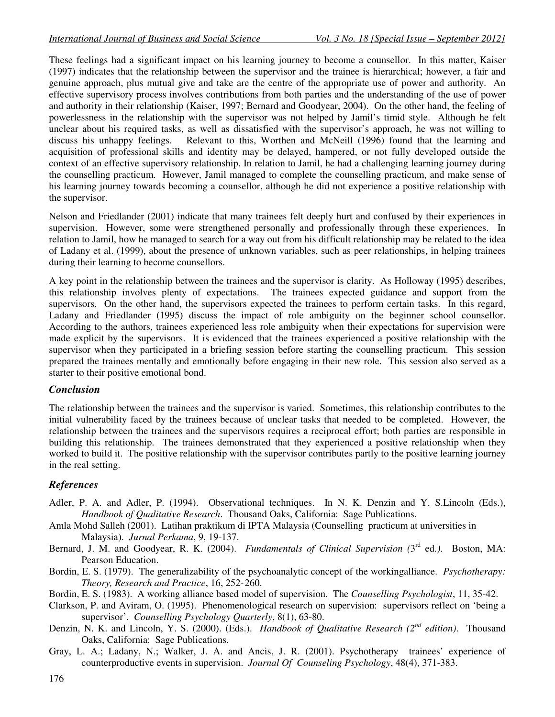These feelings had a significant impact on his learning journey to become a counsellor. In this matter, Kaiser (1997) indicates that the relationship between the supervisor and the trainee is hierarchical; however, a fair and genuine approach, plus mutual give and take are the centre of the appropriate use of power and authority. An effective supervisory process involves contributions from both parties and the understanding of the use of power and authority in their relationship (Kaiser, 1997; Bernard and Goodyear, 2004). On the other hand, the feeling of powerlessness in the relationship with the supervisor was not helped by Jamil's timid style. Although he felt unclear about his required tasks, as well as dissatisfied with the supervisor's approach, he was not willing to discuss his unhappy feelings. Relevant to this, Worthen and McNeill (1996) found that the learning and acquisition of professional skills and identity may be delayed, hampered, or not fully developed outside the context of an effective supervisory relationship. In relation to Jamil, he had a challenging learning journey during the counselling practicum. However, Jamil managed to complete the counselling practicum, and make sense of his learning journey towards becoming a counsellor, although he did not experience a positive relationship with the supervisor.

Nelson and Friedlander (2001) indicate that many trainees felt deeply hurt and confused by their experiences in supervision. However, some were strengthened personally and professionally through these experiences. In relation to Jamil, how he managed to search for a way out from his difficult relationship may be related to the idea of Ladany et al. (1999), about the presence of unknown variables, such as peer relationships, in helping trainees during their learning to become counsellors.

A key point in the relationship between the trainees and the supervisor is clarity. As Holloway (1995) describes, this relationship involves plenty of expectations. The trainees expected guidance and support from the supervisors. On the other hand, the supervisors expected the trainees to perform certain tasks. In this regard, Ladany and Friedlander (1995) discuss the impact of role ambiguity on the beginner school counsellor. According to the authors, trainees experienced less role ambiguity when their expectations for supervision were made explicit by the supervisors. It is evidenced that the trainees experienced a positive relationship with the supervisor when they participated in a briefing session before starting the counselling practicum. This session prepared the trainees mentally and emotionally before engaging in their new role. This session also served as a starter to their positive emotional bond.

# *Conclusion*

The relationship between the trainees and the supervisor is varied. Sometimes, this relationship contributes to the initial vulnerability faced by the trainees because of unclear tasks that needed to be completed. However, the relationship between the trainees and the supervisors requires a reciprocal effort; both parties are responsible in building this relationship. The trainees demonstrated that they experienced a positive relationship when they worked to build it. The positive relationship with the supervisor contributes partly to the positive learning journey in the real setting.

# *References*

- Adler, P. A. and Adler, P. (1994). Observational techniques. In N. K. Denzin and Y. S.Lincoln (Eds.), *Handbook of Qualitative Research*. Thousand Oaks, California: Sage Publications.
- Amla Mohd Salleh (2001). Latihan praktikum di IPTA Malaysia (Counselling practicum at universities in Malaysia). *Jurnal Perkama*, 9, 19-137.
- Bernard, J. M. and Goodyear, R. K. (2004). *Fundamentals of Clinical Supervision* (3<sup>rd</sup> ed.). Boston, MA: Pearson Education.
- Bordin, E. S. (1979). The generalizability of the psychoanalytic concept of the workingalliance. *Psychotherapy: Theory, Research and Practice*, 16, 252- 260.

Bordin, E. S. (1983). A working alliance based model of supervision. The *Counselling Psychologist*, 11, 35-42.

- Clarkson, P. and Aviram, O. (1995). Phenomenological research on supervision: supervisors reflect on 'being a supervisor'. *Counselling Psychology Quarterly*, 8(1), 63-80.
- Denzin, N. K. and Lincoln, Y. S. (2000). (Eds.). *Handbook of Qualitative Research (2nd edition)*. Thousand Oaks, California: Sage Publications.
- Gray, L. A.; Ladany, N.; Walker, J. A. and Ancis, J. R. (2001). Psychotherapy trainees' experience of counterproductive events in supervision. *Journal Of Counseling Psychology*, 48(4), 371-383.